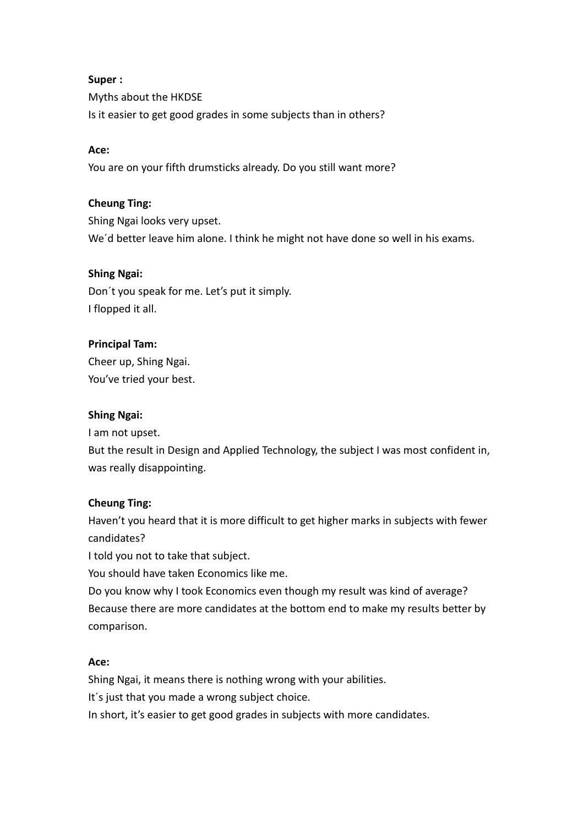# **Super :**

Myths about the HKDSE Is it easier to get good grades in some subjects than in others?

#### **Ace:**

You are on your fifth drumsticks already. Do you still want more?

### **Cheung Ting:**

Shing Ngai looks very upset. We´d better leave him alone. I think he might not have done so well in his exams.

#### **Shing Ngai:**

Don´t you speak for me. Let's put it simply. I flopped it all.

#### **Principal Tam:**

Cheer up, Shing Ngai. You've tried your best.

#### **Shing Ngai:**

I am not upset.

But the result in Design and Applied Technology, the subject I was most confident in, was really disappointing.

# **Cheung Ting:**

Haven't you heard that it is more difficult to get higher marks in subjects with fewer candidates?

I told you not to take that subject.

You should have taken Economics like me.

Do you know why I took Economics even though my result was kind of average? Because there are more candidates at the bottom end to make my results better by comparison.

#### **Ace:**

Shing Ngai, it means there is nothing wrong with your abilities. It´s just that you made a wrong subject choice. In short, it's easier to get good grades in subjects with more candidates.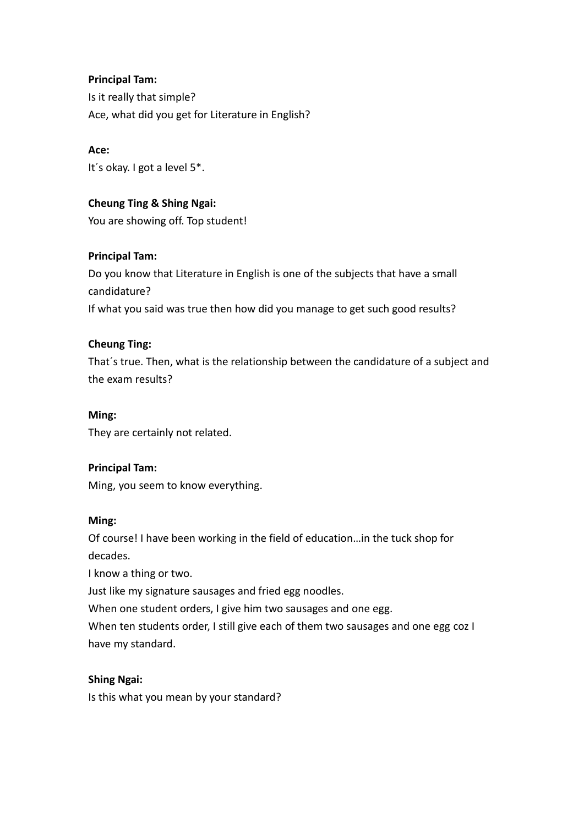# **Principal Tam:**

Is it really that simple? Ace, what did you get for Literature in English?

# **Ace:**

It´s okay. I got a level 5\*.

# **Cheung Ting & Shing Ngai:**

You are showing off. Top student!

# **Principal Tam:**

Do you know that Literature in English is one of the subjects that have a small candidature? If what you said was true then how did you manage to get such good results?

# **Cheung Ting:**

That´s true. Then, what is the relationship between the candidature of a subject and the exam results?

### **Ming:**

They are certainly not related.

# **Principal Tam:**

Ming, you seem to know everything.

# **Ming:**

Of course! I have been working in the field of education…in the tuck shop for decades.

I know a thing or two.

Just like my signature sausages and fried egg noodles.

When one student orders, I give him two sausages and one egg.

When ten students order, I still give each of them two sausages and one egg coz I have my standard.

# **Shing Ngai:**

Is this what you mean by your standard?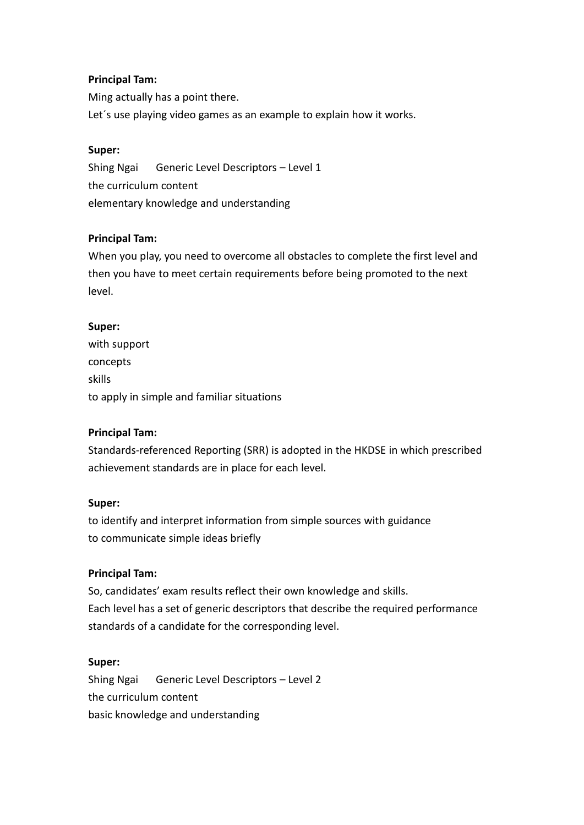### **Principal Tam:**

Ming actually has a point there. Let´s use playing video games as an example to explain how it works.

#### **Super:**

Shing Ngai Generic Level Descriptors – Level 1 the curriculum content elementary knowledge and understanding

#### **Principal Tam:**

When you play, you need to overcome all obstacles to complete the first level and then you have to meet certain requirements before being promoted to the next level.

# **Super:**

with support concepts skills to apply in simple and familiar situations

# **Principal Tam:**

Standards-referenced Reporting (SRR) is adopted in the HKDSE in which prescribed achievement standards are in place for each level.

#### **Super:**

to identify and interpret information from simple sources with guidance to communicate simple ideas briefly

# **Principal Tam:**

So, candidates' exam results reflect their own knowledge and skills. Each level has a set of generic descriptors that describe the required performance standards of a candidate for the corresponding level.

#### **Super:**

Shing Ngai Generic Level Descriptors – Level 2 the curriculum content basic knowledge and understanding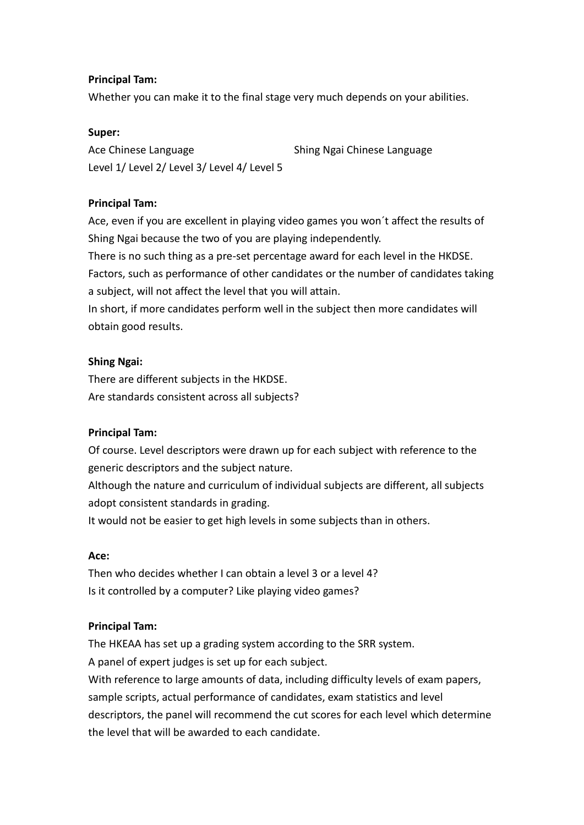#### **Principal Tam:**

Whether you can make it to the final stage very much depends on your abilities.

#### **Super:**

Ace Chinese Language Shing Ngai Chinese Language Level 1/ Level 2/ Level 3/ Level 4/ Level 5

# **Principal Tam:**

Ace, even if you are excellent in playing video games you won´t affect the results of Shing Ngai because the two of you are playing independently.

There is no such thing as a pre-set percentage award for each level in the HKDSE. Factors, such as performance of other candidates or the number of candidates taking a subject, will not affect the level that you will attain.

In short, if more candidates perform well in the subject then more candidates will obtain good results.

# **Shing Ngai:**

There are different subjects in the HKDSE. Are standards consistent across all subjects?

# **Principal Tam:**

Of course. Level descriptors were drawn up for each subject with reference to the generic descriptors and the subject nature.

Although the nature and curriculum of individual subjects are different, all subjects adopt consistent standards in grading.

It would not be easier to get high levels in some subjects than in others.

#### **Ace:**

Then who decides whether I can obtain a level 3 or a level 4? Is it controlled by a computer? Like playing video games?

# **Principal Tam:**

The HKEAA has set up a grading system according to the SRR system. A panel of expert judges is set up for each subject. With reference to large amounts of data, including difficulty levels of exam papers, sample scripts, actual performance of candidates, exam statistics and level descriptors, the panel will recommend the cut scores for each level which determine the level that will be awarded to each candidate.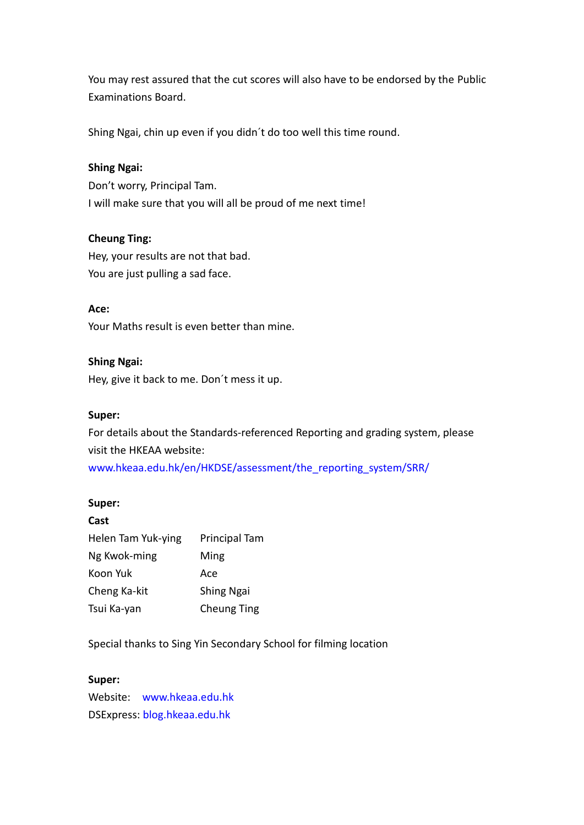You may rest assured that the cut scores will also have to be endorsed by the Public Examinations Board.

Shing Ngai, chin up even if you didn´t do too well this time round.

# **Shing Ngai:**

Don't worry, Principal Tam. I will make sure that you will all be proud of me next time!

# **Cheung Ting:**

Hey, your results are not that bad. You are just pulling a sad face.

#### **Ace:**

Your Maths result is even better than mine.

#### **Shing Ngai:**

Hey, give it back to me. Don´t mess it up.

#### **Super:**

For details about the Standards-referenced Reporting and grading system, please visit the HKEAA website: [www.hkeaa.edu.hk/en/HKDSE/assessment/the\\_reporting\\_system/SRR/](http://www.hkeaa.edu.hk/en/HKDSE/assessment/the_reporting_system/SRR/)

#### **Super:**

| Cast               |                      |
|--------------------|----------------------|
| Helen Tam Yuk-ying | <b>Principal Tam</b> |
| Ng Kwok-ming       | Ming                 |
| Koon Yuk           | Ace                  |
| Cheng Ka-kit       | Shing Ngai           |
| Tsui Ka-yan        | <b>Cheung Ting</b>   |

Special thanks to Sing Yin Secondary School for filming location

#### **Super:**

Website: [www.hkeaa.edu.hk](http://www.hkeaa.edu.hk/) DSExpress: [blog.hkeaa.edu.hk](http://blog.hkeaa.edu.hk/)